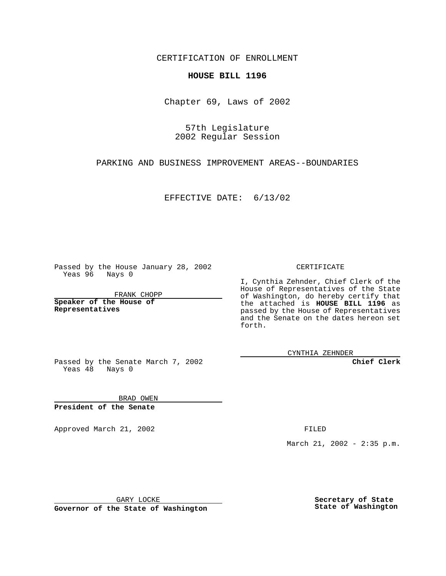CERTIFICATION OF ENROLLMENT

## **HOUSE BILL 1196**

Chapter 69, Laws of 2002

57th Legislature 2002 Regular Session

PARKING AND BUSINESS IMPROVEMENT AREAS--BOUNDARIES

EFFECTIVE DATE: 6/13/02

Passed by the House January 28, 2002 Yeas 96 Nays 0

FRANK CHOPP

**Speaker of the House of Representatives**

CERTIFICATE

I, Cynthia Zehnder, Chief Clerk of the House of Representatives of the State of Washington, do hereby certify that the attached is **HOUSE BILL 1196** as passed by the House of Representatives and the Senate on the dates hereon set forth.

CYNTHIA ZEHNDER

**Chief Clerk**

Passed by the Senate March 7, 2002 Yeas  $48$  Nays 0

BRAD OWEN **President of the Senate**

Approved March 21, 2002 **FILED** 

March 21, 2002 - 2:35 p.m.

GARY LOCKE

**Governor of the State of Washington**

**Secretary of State State of Washington**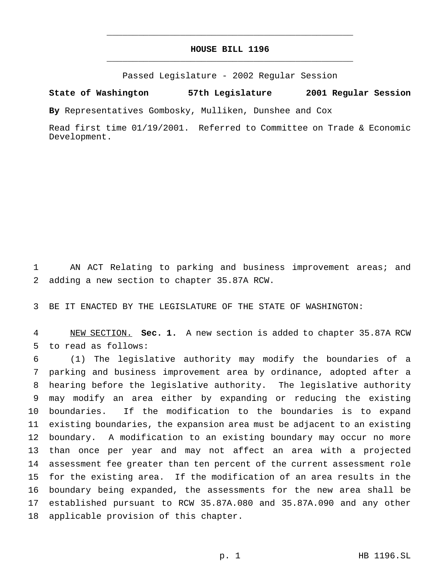## **HOUSE BILL 1196** \_\_\_\_\_\_\_\_\_\_\_\_\_\_\_\_\_\_\_\_\_\_\_\_\_\_\_\_\_\_\_\_\_\_\_\_\_\_\_\_\_\_\_\_\_\_\_

\_\_\_\_\_\_\_\_\_\_\_\_\_\_\_\_\_\_\_\_\_\_\_\_\_\_\_\_\_\_\_\_\_\_\_\_\_\_\_\_\_\_\_\_\_\_\_

Passed Legislature - 2002 Regular Session

## **State of Washington 57th Legislature 2001 Regular Session**

**By** Representatives Gombosky, Mulliken, Dunshee and Cox

Read first time 01/19/2001. Referred to Committee on Trade & Economic Development.

 AN ACT Relating to parking and business improvement areas; and adding a new section to chapter 35.87A RCW.

BE IT ENACTED BY THE LEGISLATURE OF THE STATE OF WASHINGTON:

 NEW SECTION. **Sec. 1.** A new section is added to chapter 35.87A RCW to read as follows:

 (1) The legislative authority may modify the boundaries of a parking and business improvement area by ordinance, adopted after a hearing before the legislative authority. The legislative authority may modify an area either by expanding or reducing the existing boundaries. If the modification to the boundaries is to expand existing boundaries, the expansion area must be adjacent to an existing boundary. A modification to an existing boundary may occur no more than once per year and may not affect an area with a projected assessment fee greater than ten percent of the current assessment role for the existing area. If the modification of an area results in the boundary being expanded, the assessments for the new area shall be established pursuant to RCW 35.87A.080 and 35.87A.090 and any other applicable provision of this chapter.